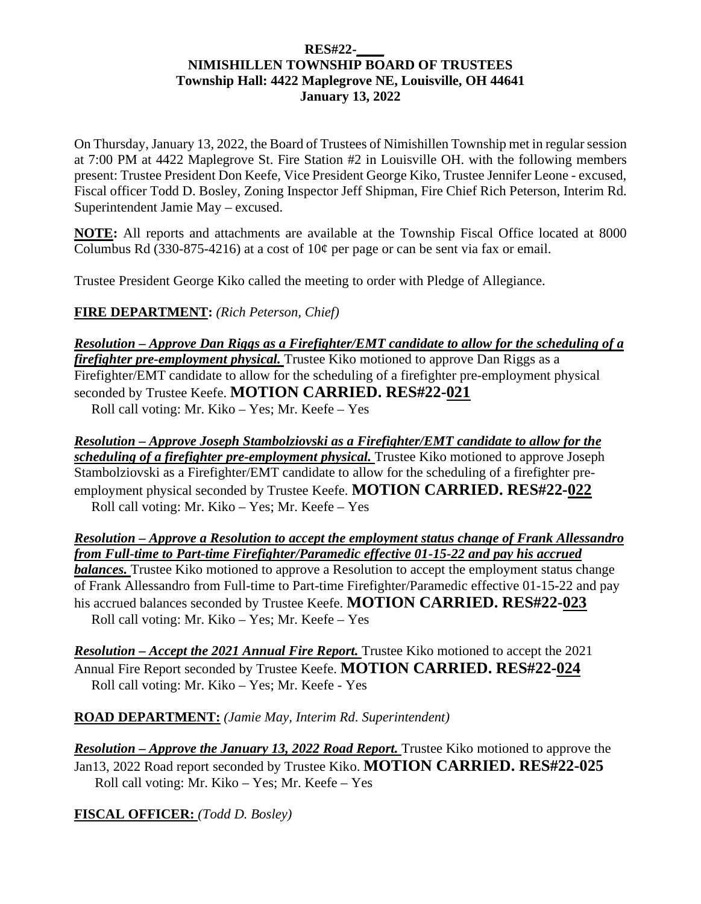## **RES#22-\_\_\_\_ NIMISHILLEN TOWNSHIP BOARD OF TRUSTEES Township Hall: 4422 Maplegrove NE, Louisville, OH 44641 January 13, 2022**

On Thursday, January 13, 2022, the Board of Trustees of Nimishillen Township met in regular session at 7:00 PM at 4422 Maplegrove St. Fire Station #2 in Louisville OH. with the following members present: Trustee President Don Keefe, Vice President George Kiko, Trustee Jennifer Leone - excused, Fiscal officer Todd D. Bosley, Zoning Inspector Jeff Shipman, Fire Chief Rich Peterson, Interim Rd. Superintendent Jamie May – excused.

**NOTE:** All reports and attachments are available at the Township Fiscal Office located at 8000 Columbus Rd (330-875-4216) at a cost of  $10¢$  per page or can be sent via fax or email.

Trustee President George Kiko called the meeting to order with Pledge of Allegiance.

**FIRE DEPARTMENT:** *(Rich Peterson, Chief)* 

*Resolution – Approve Dan Riggs as a Firefighter/EMT candidate to allow for the scheduling of a firefighter pre-employment physical.* Trustee Kiko motioned to approve Dan Riggs as a Firefighter/EMT candidate to allow for the scheduling of a firefighter pre-employment physical seconded by Trustee Keefe. **MOTION CARRIED. RES#22-021**  Roll call voting: Mr. Kiko – Yes; Mr. Keefe – Yes

*Resolution – Approve Joseph Stambolziovski as a Firefighter/EMT candidate to allow for the scheduling of a firefighter pre-employment physical.* Trustee Kiko motioned to approve Joseph Stambolziovski as a Firefighter/EMT candidate to allow for the scheduling of a firefighter preemployment physical seconded by Trustee Keefe. **MOTION CARRIED. RES#22-022**  Roll call voting: Mr. Kiko – Yes; Mr. Keefe – Yes

*Resolution – Approve a Resolution to accept the employment status change of Frank Allessandro from Full-time to Part-time Firefighter/Paramedic effective 01-15-22 and pay his accrued balances*. Trustee Kiko motioned to approve a Resolution to accept the employment status change of Frank Allessandro from Full-time to Part-time Firefighter/Paramedic effective 01-15-22 and pay his accrued balances seconded by Trustee Keefe. **MOTION CARRIED. RES#22-023**  Roll call voting: Mr. Kiko – Yes; Mr. Keefe – Yes

**Resolution – Accept the 2021 Annual Fire Report.** Trustee Kiko motioned to accept the 2021 Annual Fire Report seconded by Trustee Keefe. **MOTION CARRIED. RES#22-024**  Roll call voting: Mr. Kiko – Yes; Mr. Keefe - Yes

**ROAD DEPARTMENT:** *(Jamie May, Interim Rd. Superintendent)*

*Resolution – Approve the January 13, 2022 Road Report.* Trustee Kiko motioned to approve the Jan13, 2022 Road report seconded by Trustee Kiko. **MOTION CARRIED. RES#22-025** Roll call voting: Mr. Kiko – Yes; Mr. Keefe – Yes

**FISCAL OFFICER:** *(Todd D. Bosley)*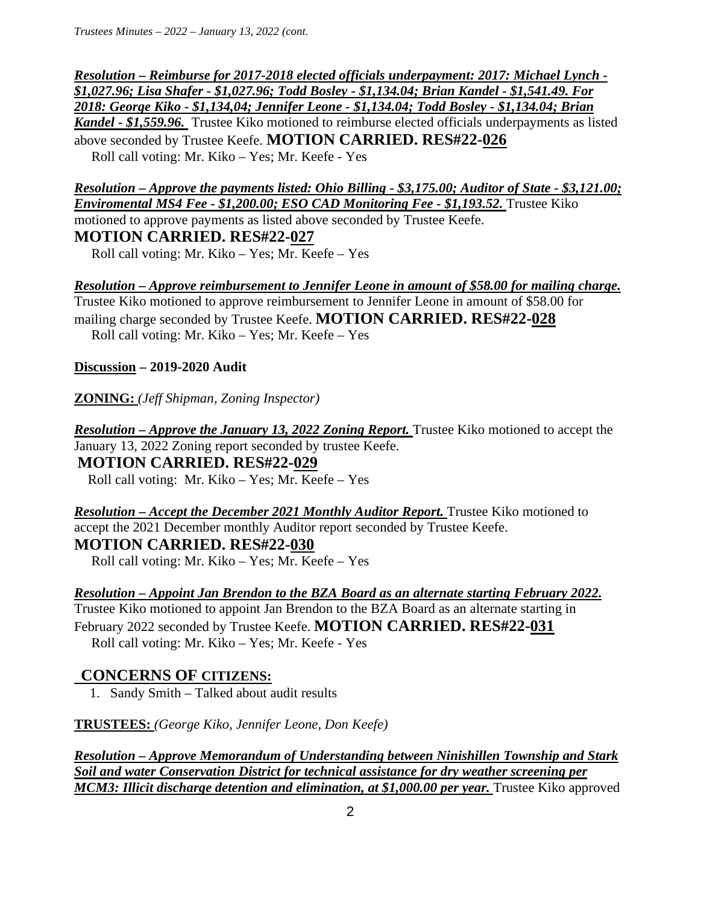*Resolution – Reimburse for 2017-2018 elected officials underpayment: 2017: Michael Lynch - \$1,027.96; Lisa Shafer - \$1,027.96; Todd Bosley - \$1,134.04; Brian Kandel - \$1,541.49. For 2018: George Kiko - \$1,134,04; Jennifer Leone - \$1,134.04; Todd Bosley - \$1,134.04; Brian Kandel - \$1,559.96.* Trustee Kiko motioned to reimburse elected officials underpayments as listed above seconded by Trustee Keefe. **MOTION CARRIED. RES#22-026** Roll call voting: Mr. Kiko – Yes; Mr. Keefe - Yes

*Resolution – Approve the payments listed: Ohio Billing - \$3,175.00; Auditor of State - \$3,121.00; Enviromental MS4 Fee - \$1,200.00; ESO CAD Monitoring Fee - \$1,193.52.* Trustee Kiko motioned to approve payments as listed above seconded by Trustee Keefe. **MOTION CARRIED. RES#22-027**

Roll call voting: Mr. Kiko – Yes; Mr. Keefe – Yes

*Resolution – Approve reimbursement to Jennifer Leone in amount of \$58.00 for mailing charge.*  Trustee Kiko motioned to approve reimbursement to Jennifer Leone in amount of \$58.00 for mailing charge seconded by Trustee Keefe. **MOTION CARRIED. RES#22-028**  Roll call voting: Mr. Kiko – Yes; Mr. Keefe – Yes

**Discussion – 2019-2020 Audit** 

**ZONING:** *(Jeff Shipman, Zoning Inspector)* 

*Resolution – Approve the January 13, 2022 Zoning Report.* Trustee Kiko motioned to accept the January 13, 2022 Zoning report seconded by trustee Keefe. **MOTION CARRIED. RES#22-029** 

Roll call voting: Mr. Kiko – Yes; Mr. Keefe – Yes

*Resolution – Accept the December 2021 Monthly Auditor Report.* Trustee Kiko motioned to accept the 2021 December monthly Auditor report seconded by Trustee Keefe. **MOTION CARRIED. RES#22-030** 

Roll call voting: Mr. Kiko – Yes; Mr. Keefe – Yes

*Resolution – Appoint Jan Brendon to the BZA Board as an alternate starting February 2022.*  Trustee Kiko motioned to appoint Jan Brendon to the BZA Board as an alternate starting in February 2022 seconded by Trustee Keefe. **MOTION CARRIED. RES#22-031**  Roll call voting: Mr. Kiko – Yes; Mr. Keefe - Yes

## **CONCERNS OF CITIZENS:**

1. Sandy Smith – Talked about audit results

**TRUSTEES:** *(George Kiko, Jennifer Leone, Don Keefe)* 

*Resolution – Approve Memorandum of Understanding between Ninishillen Township and Stark Soil and water Conservation District for technical assistance for dry weather screening per MCM3: Illicit discharge detention and elimination, at \$1,000.00 per year. Trustee Kiko approved*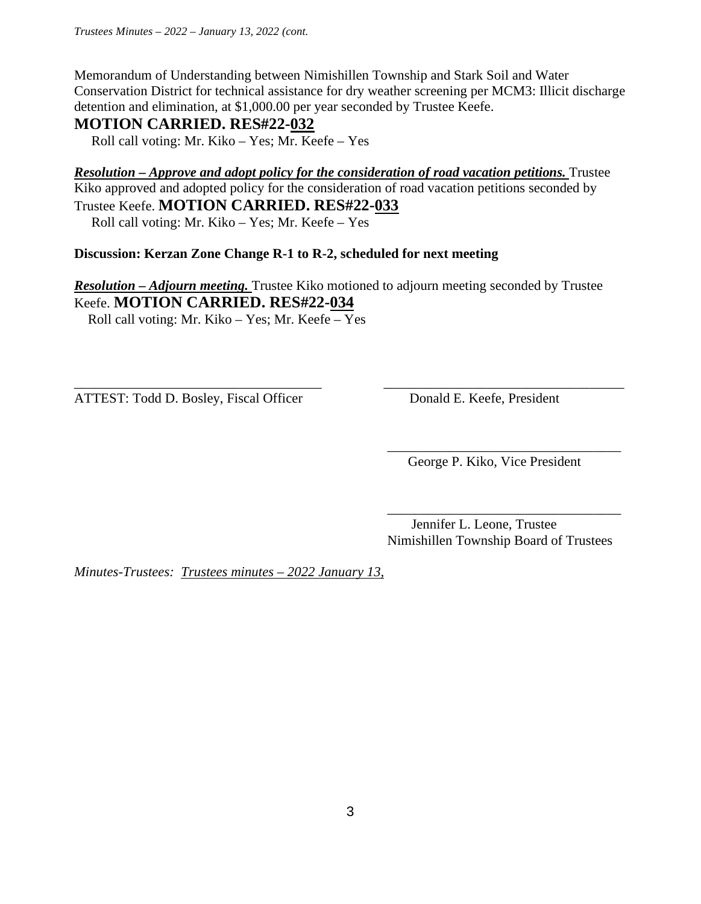Memorandum of Understanding between Nimishillen Township and Stark Soil and Water Conservation District for technical assistance for dry weather screening per MCM3: Illicit discharge detention and elimination, at \$1,000.00 per year seconded by Trustee Keefe.

## **MOTION CARRIED. RES#22-032**

Roll call voting: Mr. Kiko – Yes; Mr. Keefe – Yes

*Resolution – Approve and adopt policy for the consideration of road vacation petitions.* **Trustee** Kiko approved and adopted policy for the consideration of road vacation petitions seconded by Trustee Keefe. **MOTION CARRIED. RES#22-033** 

Roll call voting: Mr. Kiko – Yes; Mr. Keefe – Yes

## **Discussion: Kerzan Zone Change R-1 to R-2, scheduled for next meeting**

*Resolution – Adjourn meeting.* Trustee Kiko motioned to adjourn meeting seconded by Trustee Keefe. **MOTION CARRIED. RES#22-034** 

\_\_\_\_\_\_\_\_\_\_\_\_\_\_\_\_\_\_\_\_\_\_\_\_\_\_\_\_\_\_\_\_\_\_\_\_ \_\_\_\_\_\_\_\_\_\_\_\_\_\_\_\_\_\_\_\_\_\_\_\_\_\_\_\_\_\_\_\_\_\_\_

 $\overline{\phantom{a}}$  , and the contract of the contract of the contract of the contract of the contract of the contract of the contract of the contract of the contract of the contract of the contract of the contract of the contrac

Roll call voting: Mr. Kiko – Yes; Mr. Keefe – Yes

ATTEST: Todd D. Bosley, Fiscal Officer Donald E. Keefe, President

George P. Kiko, Vice President

 $\overline{\phantom{a}}$  , and the contract of the contract of the contract of the contract of the contract of the contract of the contract of the contract of the contract of the contract of the contract of the contract of the contrac Jennifer L. Leone, Trustee Nimishillen Township Board of Trustees

*Minutes-Trustees: Trustees minutes – 2022 January 13,*